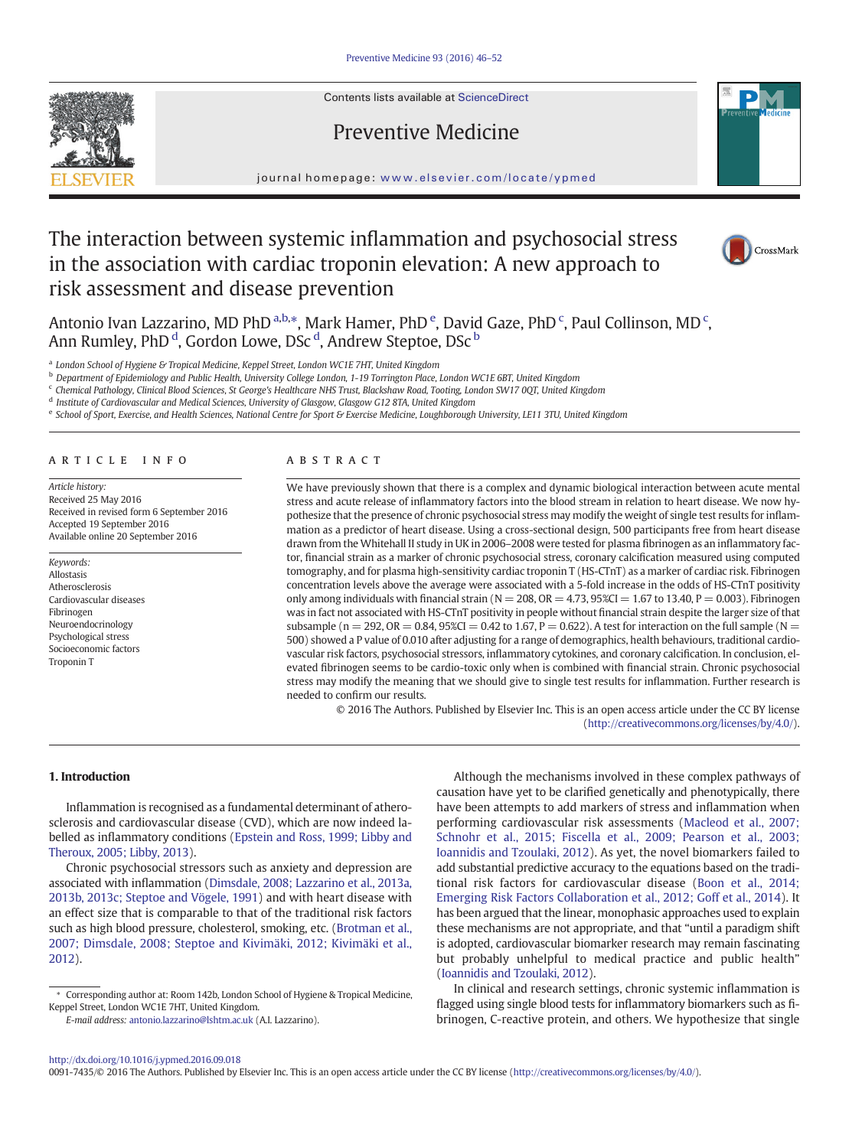Contents lists available at [ScienceDirect](http://www.sciencedirect.com/science/journal/00917435)

Preventive Medicine



# journal homepage: <www.elsevier.com/locate/ypmed>

# The interaction between systemic inflammation and psychosocial stress in the association with cardiac troponin elevation: A new approach to risk assessment and disease prevention



Antonio Ivan Lazzarino, MD PhD <sup>a,b,\*</sup>, Mark Hamer, PhD <sup>e</sup>, David Gaze, PhD <sup>c</sup>, Paul Collinson, MD <sup>c</sup>, Ann Rumley, PhD <sup>d</sup>, Gordon Lowe, DSc <sup>d</sup>, Andrew Steptoe, DSc <sup>b</sup>

<sup>a</sup> London School of Hygiene & Tropical Medicine, Keppel Street, London WC1E 7HT, United Kingdom

<sup>b</sup> Department of Epidemiology and Public Health, University College London, 1-19 Torrington Place, London WC1E 6BT, United Kingdom

<sup>c</sup> Chemical Pathology, Clinical Blood Sciences, St George's Healthcare NHS Trust, Blackshaw Road, Tooting, London SW17 0QT, United Kingdom

<sup>d</sup> Institute of Cardiovascular and Medical Sciences, University of Glasgow, Glasgow G12 8TA, United Kingdom

e School of Sport, Exercise, and Health Sciences, National Centre for Sport & Exercise Medicine, Loughborough University, LE11 3TU, United Kingdom

# article info abstract

Article history: Received 25 May 2016 Received in revised form 6 September 2016 Accepted 19 September 2016 Available online 20 September 2016

Keywords: Allostasis Atherosclerosis Cardiovascular diseases Fibrinogen Neuroendocrinology Psychological stress Socioeconomic factors Troponin T

We have previously shown that there is a complex and dynamic biological interaction between acute mental stress and acute release of inflammatory factors into the blood stream in relation to heart disease. We now hypothesize that the presence of chronic psychosocial stress may modify the weight of single test results for inflammation as a predictor of heart disease. Using a cross-sectional design, 500 participants free from heart disease drawn from the Whitehall II study in UK in 2006–2008 were tested for plasma fibrinogen as an inflammatory factor, financial strain as a marker of chronic psychosocial stress, coronary calcification measured using computed tomography, and for plasma high-sensitivity cardiac troponin T (HS-CTnT) as a marker of cardiac risk. Fibrinogen concentration levels above the average were associated with a 5-fold increase in the odds of HS-CTnT positivity only among individuals with financial strain ( $N = 208$ ,  $OR = 4.73$ ,  $95\%CI = 1.67$  to 13.40,  $P = 0.003$ ). Fibrinogen was in fact not associated with HS-CTnT positivity in people without financial strain despite the larger size of that subsample ( $n = 292$ ,  $OR = 0.84$ ,  $95\%CI = 0.42$  to 1.67,  $P = 0.622$ ). A test for interaction on the full sample ( $N = 0.622$ ). 500) showed a P value of 0.010 after adjusting for a range of demographics, health behaviours, traditional cardiovascular risk factors, psychosocial stressors, inflammatory cytokines, and coronary calcification. In conclusion, elevated fibrinogen seems to be cardio-toxic only when is combined with financial strain. Chronic psychosocial stress may modify the meaning that we should give to single test results for inflammation. Further research is needed to confirm our results.

© 2016 The Authors. Published by Elsevier Inc. This is an open access article under the CC BY license [\(http://creativecommons.org/licenses/by/4.0/](http://creativecommons.org/licenses/by/4.0/)).

# 1. Introduction

Inflammation is recognised as a fundamental determinant of atherosclerosis and cardiovascular disease (CVD), which are now indeed labelled as inflammatory conditions [\(Epstein and Ross, 1999; Libby and](#page-5-0) [Theroux, 2005; Libby, 2013](#page-5-0)).

Chronic psychosocial stressors such as anxiety and depression are associated with inflammation ([Dimsdale, 2008; Lazzarino et al., 2013a,](#page-5-0) [2013b, 2013c; Steptoe and Vögele, 1991](#page-5-0)) and with heart disease with an effect size that is comparable to that of the traditional risk factors such as high blood pressure, cholesterol, smoking, etc. ([Brotman et al.,](#page-5-0) [2007; Dimsdale, 2008; Steptoe and Kivimäki, 2012; Kivimäki et al.,](#page-5-0) [2012\)](#page-5-0).

E-mail address: [antonio.lazzarino@lshtm.ac.uk](mailto:antonio.lazzarino@lshtm.ac.uk) (A.I. Lazzarino).

Although the mechanisms involved in these complex pathways of causation have yet to be clarified genetically and phenotypically, there have been attempts to add markers of stress and inflammation when performing cardiovascular risk assessments ([Macleod et al., 2007;](#page-5-0) [Schnohr et al., 2015; Fiscella et al., 2009; Pearson et al., 2003;](#page-5-0) [Ioannidis and Tzoulaki, 2012](#page-5-0)). As yet, the novel biomarkers failed to add substantial predictive accuracy to the equations based on the traditional risk factors for cardiovascular disease [\(Boon et al., 2014;](#page-5-0) [Emerging Risk Factors Collaboration et al., 2012; Goff et al., 2014\)](#page-5-0). It has been argued that the linear, monophasic approaches used to explain these mechanisms are not appropriate, and that "until a paradigm shift is adopted, cardiovascular biomarker research may remain fascinating but probably unhelpful to medical practice and public health" [\(Ioannidis and Tzoulaki, 2012\)](#page-5-0).

In clinical and research settings, chronic systemic inflammation is flagged using single blood tests for inflammatory biomarkers such as fibrinogen, C-reactive protein, and others. We hypothesize that single

0091-7435/© 2016 The Authors. Published by Elsevier Inc. This is an open access article under the CC BY license (<http://creativecommons.org/licenses/by/4.0/>).

<sup>⁎</sup> Corresponding author at: Room 142b, London School of Hygiene & Tropical Medicine, Keppel Street, London WC1E 7HT, United Kingdom.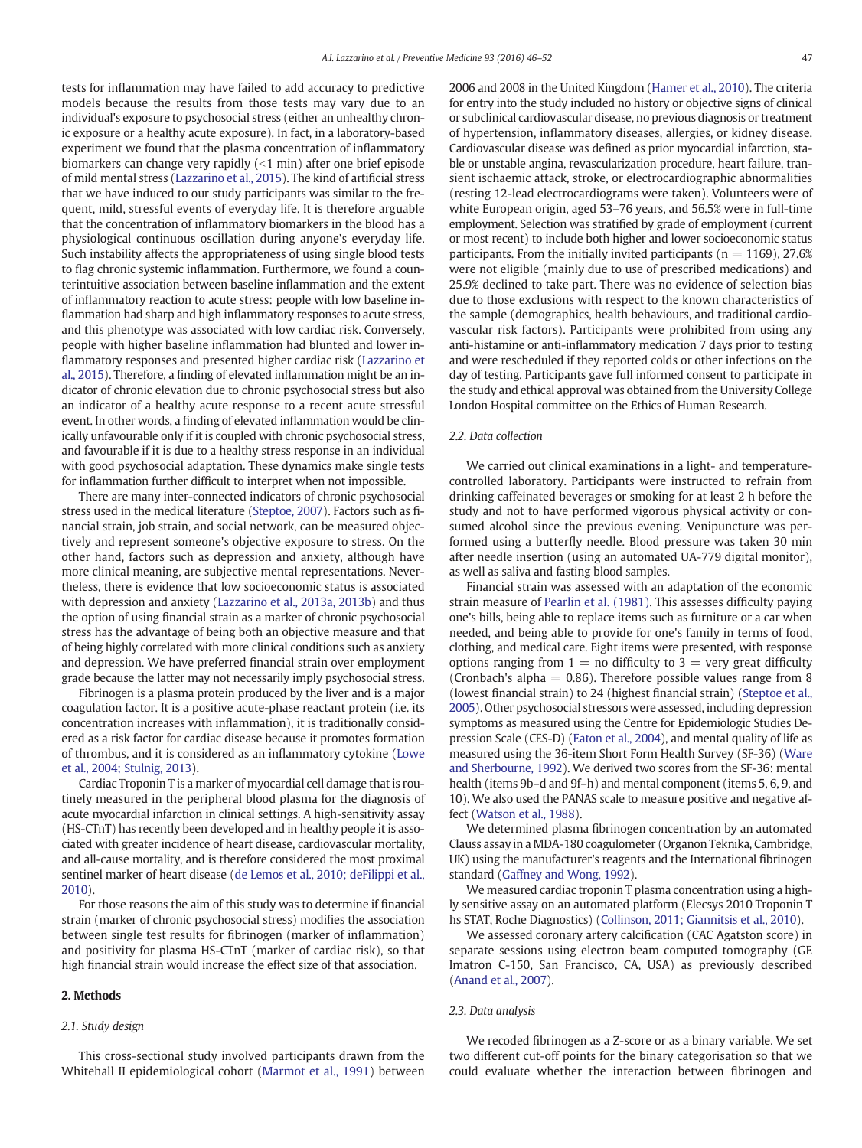tests for inflammation may have failed to add accuracy to predictive models because the results from those tests may vary due to an individual's exposure to psychosocial stress (either an unhealthy chronic exposure or a healthy acute exposure). In fact, in a laboratory-based experiment we found that the plasma concentration of inflammatory biomarkers can change very rapidly  $($  < 1 min) after one brief episode of mild mental stress [\(Lazzarino et al., 2015\)](#page-5-0). The kind of artificial stress that we have induced to our study participants was similar to the frequent, mild, stressful events of everyday life. It is therefore arguable that the concentration of inflammatory biomarkers in the blood has a physiological continuous oscillation during anyone's everyday life. Such instability affects the appropriateness of using single blood tests to flag chronic systemic inflammation. Furthermore, we found a counterintuitive association between baseline inflammation and the extent of inflammatory reaction to acute stress: people with low baseline inflammation had sharp and high inflammatory responses to acute stress, and this phenotype was associated with low cardiac risk. Conversely, people with higher baseline inflammation had blunted and lower inflammatory responses and presented higher cardiac risk [\(Lazzarino et](#page-5-0) [al., 2015\)](#page-5-0). Therefore, a finding of elevated inflammation might be an indicator of chronic elevation due to chronic psychosocial stress but also an indicator of a healthy acute response to a recent acute stressful event. In other words, a finding of elevated inflammation would be clinically unfavourable only if it is coupled with chronic psychosocial stress, and favourable if it is due to a healthy stress response in an individual with good psychosocial adaptation. These dynamics make single tests for inflammation further difficult to interpret when not impossible.

There are many inter-connected indicators of chronic psychosocial stress used in the medical literature ([Steptoe, 2007](#page-6-0)). Factors such as financial strain, job strain, and social network, can be measured objectively and represent someone's objective exposure to stress. On the other hand, factors such as depression and anxiety, although have more clinical meaning, are subjective mental representations. Nevertheless, there is evidence that low socioeconomic status is associated with depression and anxiety [\(Lazzarino et al., 2013a, 2013b\)](#page-5-0) and thus the option of using financial strain as a marker of chronic psychosocial stress has the advantage of being both an objective measure and that of being highly correlated with more clinical conditions such as anxiety and depression. We have preferred financial strain over employment grade because the latter may not necessarily imply psychosocial stress.

Fibrinogen is a plasma protein produced by the liver and is a major coagulation factor. It is a positive acute-phase reactant protein (i.e. its concentration increases with inflammation), it is traditionally considered as a risk factor for cardiac disease because it promotes formation of thrombus, and it is considered as an inflammatory cytokine [\(Lowe](#page-5-0) [et al., 2004; Stulnig, 2013](#page-5-0)).

Cardiac Troponin T is a marker of myocardial cell damage that is routinely measured in the peripheral blood plasma for the diagnosis of acute myocardial infarction in clinical settings. A high-sensitivity assay (HS-CTnT) has recently been developed and in healthy people it is associated with greater incidence of heart disease, cardiovascular mortality, and all-cause mortality, and is therefore considered the most proximal sentinel marker of heart disease [\(de Lemos et al., 2010; deFilippi et al.,](#page-5-0) [2010](#page-5-0)).

For those reasons the aim of this study was to determine if financial strain (marker of chronic psychosocial stress) modifies the association between single test results for fibrinogen (marker of inflammation) and positivity for plasma HS-CTnT (marker of cardiac risk), so that high financial strain would increase the effect size of that association.

# 2. Methods

# 2.1. Study design

This cross-sectional study involved participants drawn from the Whitehall II epidemiological cohort [\(Marmot et al., 1991](#page-5-0)) between 2006 and 2008 in the United Kingdom ([Hamer et al., 2010](#page-5-0)). The criteria for entry into the study included no history or objective signs of clinical or subclinical cardiovascular disease, no previous diagnosis or treatment of hypertension, inflammatory diseases, allergies, or kidney disease. Cardiovascular disease was defined as prior myocardial infarction, stable or unstable angina, revascularization procedure, heart failure, transient ischaemic attack, stroke, or electrocardiographic abnormalities (resting 12-lead electrocardiograms were taken). Volunteers were of white European origin, aged 53–76 years, and 56.5% were in full-time employment. Selection was stratified by grade of employment (current or most recent) to include both higher and lower socioeconomic status participants. From the initially invited participants ( $n = 1169$ ), 27.6% were not eligible (mainly due to use of prescribed medications) and 25.9% declined to take part. There was no evidence of selection bias due to those exclusions with respect to the known characteristics of the sample (demographics, health behaviours, and traditional cardiovascular risk factors). Participants were prohibited from using any anti-histamine or anti-inflammatory medication 7 days prior to testing and were rescheduled if they reported colds or other infections on the day of testing. Participants gave full informed consent to participate in the study and ethical approval was obtained from the University College London Hospital committee on the Ethics of Human Research.

# 2.2. Data collection

We carried out clinical examinations in a light- and temperaturecontrolled laboratory. Participants were instructed to refrain from drinking caffeinated beverages or smoking for at least 2 h before the study and not to have performed vigorous physical activity or consumed alcohol since the previous evening. Venipuncture was performed using a butterfly needle. Blood pressure was taken 30 min after needle insertion (using an automated UA-779 digital monitor), as well as saliva and fasting blood samples.

Financial strain was assessed with an adaptation of the economic strain measure of [Pearlin et al. \(1981\).](#page-6-0) This assesses difficulty paying one's bills, being able to replace items such as furniture or a car when needed, and being able to provide for one's family in terms of food, clothing, and medical care. Eight items were presented, with response options ranging from  $1 =$  no difficulty to  $3 =$  very great difficulty (Cronbach's alpha  $= 0.86$ ). Therefore possible values range from 8 (lowest financial strain) to 24 (highest financial strain) [\(Steptoe et al.,](#page-6-0) [2005](#page-6-0)). Other psychosocial stressors were assessed, including depression symptoms as measured using the Centre for Epidemiologic Studies Depression Scale (CES-D) [\(Eaton et al., 2004\)](#page-5-0), and mental quality of life as measured using the 36-item Short Form Health Survey (SF-36) [\(Ware](#page-6-0) [and Sherbourne, 1992\)](#page-6-0). We derived two scores from the SF-36: mental health (items 9b–d and 9f–h) and mental component (items 5, 6, 9, and 10). We also used the PANAS scale to measure positive and negative affect [\(Watson et al., 1988](#page-6-0)).

We determined plasma fibrinogen concentration by an automated Clauss assay in a MDA-180 coagulometer (Organon Teknika, Cambridge, UK) using the manufacturer's reagents and the International fibrinogen standard [\(Gaffney and Wong, 1992](#page-5-0)).

We measured cardiac troponin T plasma concentration using a highly sensitive assay on an automated platform (Elecsys 2010 Troponin T hs STAT, Roche Diagnostics) [\(Collinson, 2011; Giannitsis et al., 2010](#page-5-0)).

We assessed coronary artery calcification (CAC Agatston score) in separate sessions using electron beam computed tomography (GE Imatron C-150, San Francisco, CA, USA) as previously described [\(Anand et al., 2007\)](#page-5-0).

# 2.3. Data analysis

We recoded fibrinogen as a Z-score or as a binary variable. We set two different cut-off points for the binary categorisation so that we could evaluate whether the interaction between fibrinogen and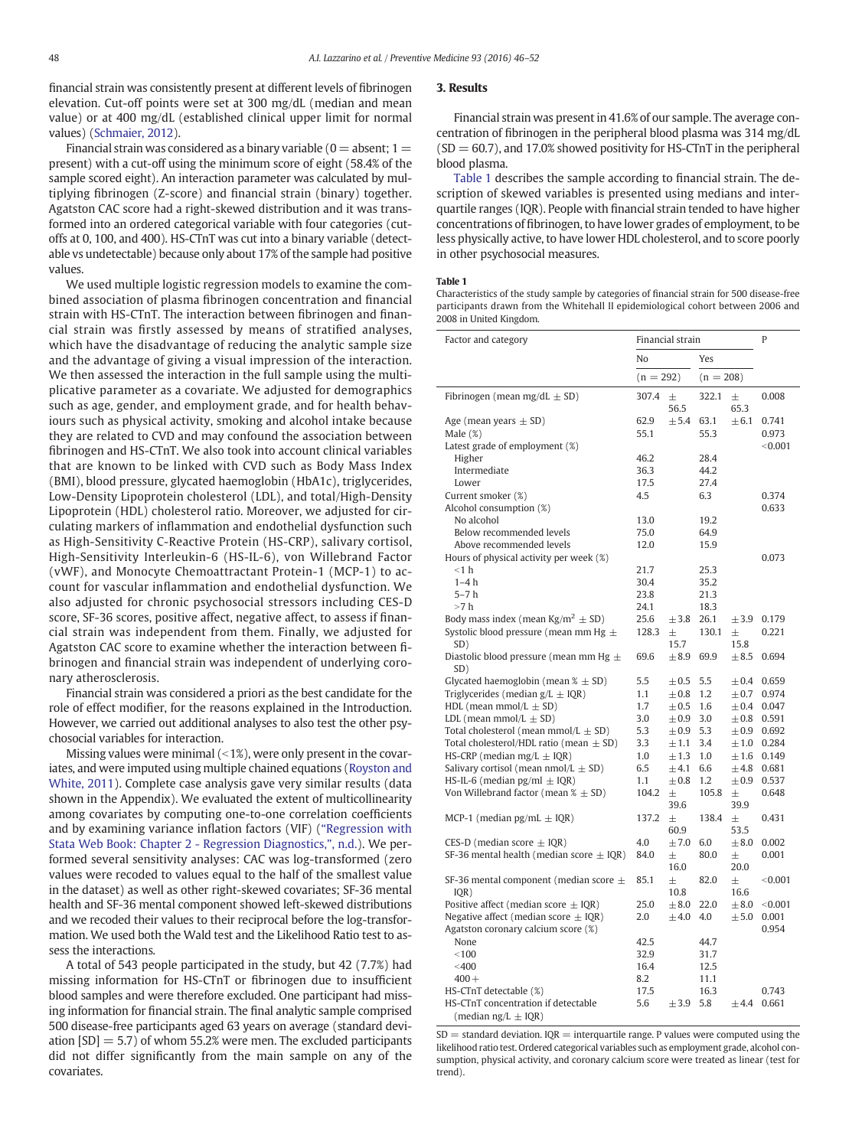financial strain was consistently present at different levels of fibrinogen elevation. Cut-off points were set at 300 mg/dL (median and mean value) or at 400 mg/dL (established clinical upper limit for normal values) [\(Schmaier, 2012\)](#page-6-0).

Financial strain was considered as a binary variable ( $0 =$  absent;  $1 =$ present) with a cut-off using the minimum score of eight (58.4% of the sample scored eight). An interaction parameter was calculated by multiplying fibrinogen (Z-score) and financial strain (binary) together. Agatston CAC score had a right-skewed distribution and it was transformed into an ordered categorical variable with four categories (cutoffs at 0, 100, and 400). HS-CTnT was cut into a binary variable (detectable vs undetectable) because only about 17% of the sample had positive values.

We used multiple logistic regression models to examine the combined association of plasma fibrinogen concentration and financial strain with HS-CTnT. The interaction between fibrinogen and financial strain was firstly assessed by means of stratified analyses, which have the disadvantage of reducing the analytic sample size and the advantage of giving a visual impression of the interaction. We then assessed the interaction in the full sample using the multiplicative parameter as a covariate. We adjusted for demographics such as age, gender, and employment grade, and for health behaviours such as physical activity, smoking and alcohol intake because they are related to CVD and may confound the association between fibrinogen and HS-CTnT. We also took into account clinical variables that are known to be linked with CVD such as Body Mass Index (BMI), blood pressure, glycated haemoglobin (HbA1c), triglycerides, Low-Density Lipoprotein cholesterol (LDL), and total/High-Density Lipoprotein (HDL) cholesterol ratio. Moreover, we adjusted for circulating markers of inflammation and endothelial dysfunction such as High-Sensitivity C-Reactive Protein (HS-CRP), salivary cortisol, High-Sensitivity Interleukin-6 (HS-IL-6), von Willebrand Factor (vWF), and Monocyte Chemoattractant Protein-1 (MCP-1) to account for vascular inflammation and endothelial dysfunction. We also adjusted for chronic psychosocial stressors including CES-D score, SF-36 scores, positive affect, negative affect, to assess if financial strain was independent from them. Finally, we adjusted for Agatston CAC score to examine whether the interaction between fibrinogen and financial strain was independent of underlying coronary atherosclerosis.

Financial strain was considered a priori as the best candidate for the role of effect modifier, for the reasons explained in the Introduction. However, we carried out additional analyses to also test the other psychosocial variables for interaction.

Missing values were minimal  $\left($  < 1%), were only present in the covariates, and were imputed using multiple chained equations [\(Royston and](#page-6-0) [White, 2011\)](#page-6-0). Complete case analysis gave very similar results (data shown in the Appendix). We evaluated the extent of multicollinearity among covariates by computing one-to-one correlation coefficients and by examining variance inflation factors (VIF) ("[Regression with](#page-6-0) [Stata Web Book: Chapter 2 - Regression Diagnostics,](#page-6-0)", n.d.). We performed several sensitivity analyses: CAC was log-transformed (zero values were recoded to values equal to the half of the smallest value in the dataset) as well as other right-skewed covariates; SF-36 mental health and SF-36 mental component showed left-skewed distributions and we recoded their values to their reciprocal before the log-transformation. We used both the Wald test and the Likelihood Ratio test to assess the interactions.

A total of 543 people participated in the study, but 42 (7.7%) had missing information for HS-CTnT or fibrinogen due to insufficient blood samples and were therefore excluded. One participant had missing information for financial strain. The final analytic sample comprised 500 disease-free participants aged 63 years on average (standard deviation  $[SD] = 5.7$  of whom 55.2% were men. The excluded participants did not differ significantly from the main sample on any of the covariates.

# 3. Results

Financial strain was present in 41.6% of our sample. The average concentration of fibrinogen in the peripheral blood plasma was 314 mg/dL  $(SD = 60.7)$ , and 17.0% showed positivity for HS-CTnT in the peripheral blood plasma.

Table 1 describes the sample according to financial strain. The description of skewed variables is presented using medians and interquartile ranges (IQR). People with financial strain tended to have higher concentrations of fibrinogen, to have lower grades of employment, to be less physically active, to have lower HDL cholesterol, and to score poorly in other psychosocial measures.

### Table 1

Characteristics of the study sample by categories of financial strain for 500 disease-free participants drawn from the Whitehall II epidemiological cohort between 2006 and 2008 in United Kingdom.

| Factor and category                                            | Financial strain | P                |             |               |         |
|----------------------------------------------------------------|------------------|------------------|-------------|---------------|---------|
|                                                                | No               |                  | Yes         |               |         |
|                                                                | $(n = 292)$      |                  | $(n = 208)$ |               |         |
| Fibrinogen (mean mg/dL $\pm$ SD)                               | 307.4            | $\pm$<br>56.5    | 322.1       | $\pm$<br>65.3 | 0.008   |
| Age (mean years $\pm$ SD)                                      | 62.9             | ± 5.4            | 63.1        | ± 6.1         | 0.741   |
| Male $(\%)$                                                    | 55.1             |                  | 55.3        |               | 0.973   |
| Latest grade of employment (%)                                 |                  |                  |             |               | < 0.001 |
| Higher                                                         | 46.2             |                  | 28.4        |               |         |
| Intermediate                                                   | 36.3             |                  | 44.2        |               |         |
| Lower                                                          | 17.5             |                  | 27.4        |               |         |
| Current smoker (%)                                             | 4.5              |                  | 6.3         |               | 0.374   |
| Alcohol consumption (%)                                        |                  |                  |             |               | 0.633   |
| No alcohol                                                     | 13.0             |                  | 19.2        |               |         |
| Below recommended levels                                       | 75.0             |                  | 64.9        |               |         |
| Above recommended levels                                       | 12.0             |                  | 15.9        |               |         |
| Hours of physical activity per week (%)                        |                  |                  |             |               | 0.073   |
| <1 h                                                           | 21.7             |                  | 25.3        |               |         |
| $1-4h$                                                         | 30.4             |                  | 35.2        |               |         |
| $5-7h$                                                         | 23.8             |                  | 21.3        |               |         |
| >7 h                                                           | 24.1             |                  | 18.3        |               |         |
| Body mass index (mean $\text{Kg/m}^2 \pm \text{SD}$ )          | 25.6             | ± 3.8            | 26.1        | $\pm 3.9$     | 0.179   |
| Systolic blood pressure (mean mm Hg $\pm$<br>SD)               | 128.3            | $_{\pm}$<br>15.7 | 130.1       | 士<br>15.8     | 0.221   |
| Diastolic blood pressure (mean mm Hg $\pm$<br>SD)              | 69.6             | $\pm 8.9$        | 69.9        | $\pm 8.5$     | 0.694   |
| Glycated haemoglobin (mean $\% \pm SD$ )                       | 5.5              | $\pm 0.5$        | 5.5         | $\pm 0.4$     | 0.659   |
| Triglycerides (median $g/L \pm IQR$ )                          | 1.1              | $\pm 0.8$        | 1.2         | $\pm 0.7$     | 0.974   |
| HDL (mean mmol/L $\pm$ SD)                                     | 1.7              | $\pm 0.5$        | 1.6         | $\pm 0.4$     | 0.047   |
| LDL (mean mmol/L $\pm$ SD)                                     | 3.0              | $\pm 0.9$        | 3.0         | $\pm 0.8$     | 0.591   |
| Total cholesterol (mean mmol/ $L \pm SD$ )                     | 5.3              | $\pm 0.9$        | 5.3         | $\pm 0.9$     | 0.692   |
| Total cholesterol/HDL ratio (mean $\pm$ SD)                    | 3.3              | $\pm 1.1$        | 3.4         | $\pm 1.0$     | 0.284   |
| HS-CRP (median mg/L $\pm$ IQR)                                 | 1.0              | $\pm 1.3$        | 1.0         | $\pm 1.6$     | 0.149   |
| Salivary cortisol (mean nmol/L $\pm$ SD)                       | 6.5              | ± 4.1            | 6.6         | $\pm 4.8$     | 0.681   |
| HS-IL-6 (median $pg/ml \pm IQR$ )                              | 1.1              | $\pm 0.8$        | 1.2         | $\pm 0.9$     | 0.537   |
| Von Willebrand factor (mean $% \pm SD$ )                       | 104.2            | $_{\pm}$<br>39.6 | 105.8       | 士<br>39.9     | 0.648   |
| MCP-1 (median pg/mL $\pm$ IQR)                                 | 137.2            | $^{+}$<br>60.9   | 138.4       | $\pm$<br>53.5 | 0.431   |
| CES-D (median score $\pm$ IQR)                                 | 4.0              | ±7.0             | 6.0         | ±8.0          | 0.002   |
| SF-36 mental health (median score $\pm$ IQR)                   | 84.0             | Ŧ.<br>16.0       | 80.0        | $\pm$<br>20.0 | 0.001   |
| SF-36 mental component (median score $\pm$<br>IOR)             | 85.1             | $\pm$<br>10.8    | 82.0        | $\pm$<br>16.6 | < 0.001 |
| Positive affect (median score $\pm$ IQR)                       | 25.0             | $\pm 8.0$        | 22.0        | $\pm 8.0$     | < 0.001 |
| Negative affect (median score $\pm$ IQR)                       | 2.0              | $\pm 4.0$        | 4.0         | ± 5.0         | 0.001   |
| Agatston coronary calcium score (%)                            |                  |                  |             |               | 0.954   |
| None                                                           | 42.5             |                  | 44.7        |               |         |
| < 100                                                          | 32.9             |                  | 31.7        |               |         |
| $<$ 400                                                        | 16.4             |                  | 12.5        |               |         |
| $400 +$                                                        | 8.2              |                  | 11.1        |               |         |
| HS-CTnT detectable (%)                                         | 17.5             |                  | 16.3        |               | 0.743   |
| HS-CTnT concentration if detectable<br>(median ng/L $\pm$ IQR) | 5.6              | $\pm 3.9$        | 5.8         | $\pm$ 4.4     | 0.661   |

 $SD =$  standard deviation. IQR = interquartile range. P values were computed using the likelihood ratio test. Ordered categorical variables such as employment grade, alcohol consumption, physical activity, and coronary calcium score were treated as linear (test for trend).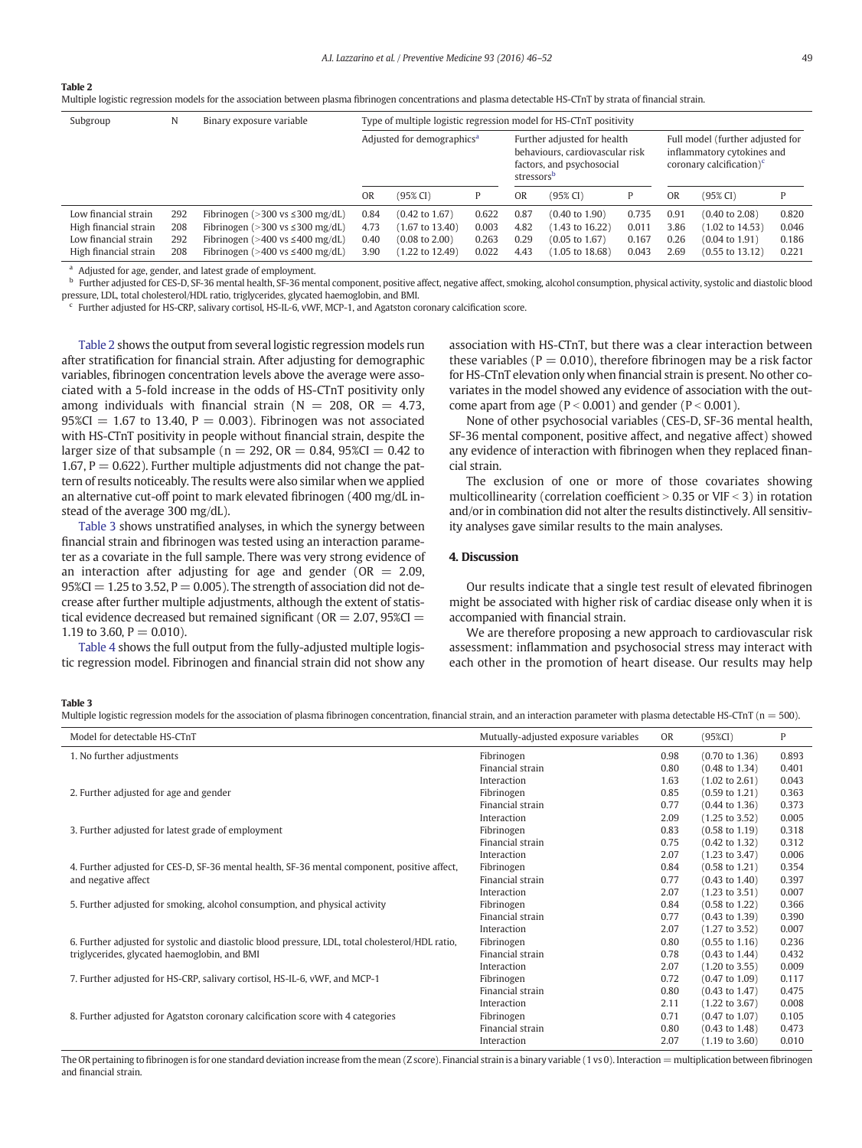# <span id="page-3-0"></span>Table 2

Multiple logistic regression models for the association between plasma fibrinogen concentrations and plasma detectable HS-CTnT by strata of financial strain.

| Subgroup                                                                                       | N                        | Binary exposure variable                                                                                                                                               | Type of multiple logistic regression model for HS-CTnT positivity |                                                                                                         |                                                                                                                       |                              |                                                                                                                    |                                  |                              |                                                                                                                    |                                  |
|------------------------------------------------------------------------------------------------|--------------------------|------------------------------------------------------------------------------------------------------------------------------------------------------------------------|-------------------------------------------------------------------|---------------------------------------------------------------------------------------------------------|-----------------------------------------------------------------------------------------------------------------------|------------------------------|--------------------------------------------------------------------------------------------------------------------|----------------------------------|------------------------------|--------------------------------------------------------------------------------------------------------------------|----------------------------------|
|                                                                                                |                          |                                                                                                                                                                        | Adjusted for demographics <sup>a</sup>                            |                                                                                                         | Further adjusted for health<br>behaviours, cardiovascular risk<br>factors, and psychosocial<br>stressors <sup>b</sup> |                              | Full model (further adjusted for<br>inflammatory cytokines and<br>coronary calcification) $c$                      |                                  |                              |                                                                                                                    |                                  |
|                                                                                                |                          |                                                                                                                                                                        | <b>OR</b>                                                         | (95% CI)                                                                                                | P                                                                                                                     | <b>OR</b>                    | (95% CI)                                                                                                           | P                                | <b>OR</b>                    | (95% CI)                                                                                                           | P                                |
| Low financial strain<br>High financial strain<br>Low financial strain<br>High financial strain | 292<br>208<br>292<br>208 | Fibrinogen ( $>300$ vs $\leq 300$ mg/dL)<br>Fibrinogen ( $>300$ vs $\leq 300$ mg/dL)<br>Fibrinogen (>400 vs $\leq$ 400 mg/dL)<br>Fibrinogen (>400 vs $\leq$ 400 mg/dL) | 0.84<br>4.73<br>0.40<br>3.90                                      | $(0.42 \text{ to } 1.67)$<br>(1.67 to 13.40)<br>$(0.08 \text{ to } 2.00)$<br>$(1.22 \text{ to } 12.49)$ | 0.622<br>0.003<br>0.263<br>0.022                                                                                      | 0.87<br>4.82<br>0.29<br>4.43 | $(0.40 \text{ to } 1.90)$<br>$(1.43 \text{ to } 16.22)$<br>$(0.05 \text{ to } 1.67)$<br>$(1.05 \text{ to } 18.68)$ | 0.735<br>0.011<br>0.167<br>0.043 | 0.91<br>3.86<br>0.26<br>2.69 | $(0.40 \text{ to } 2.08)$<br>$(1.02 \text{ to } 14.53)$<br>$(0.04 \text{ to } 1.91)$<br>$(0.55 \text{ to } 13.12)$ | 0.820<br>0.046<br>0.186<br>0.221 |

<sup>a</sup> Adjusted for age, gender, and latest grade of employment.<br><sup>b</sup> Eurther adjusted for CES-D, SE-36 mental health, SE-36 men

<sup>b</sup> Further adjusted for CES-D, SF-36 mental health, SF-36 mental component, positive affect, negative affect, smoking, alcohol consumption, physical activity, systolic and diastolic blood pressure, LDL, total cholesterol/HDL ratio, triglycerides, glycated haemoglobin, and BMI.

Further adjusted for HS-CRP, salivary cortisol, HS-IL-6, vWF, MCP-1, and Agatston coronary calcification score.

Table 2 shows the output from several logistic regression models run after stratification for financial strain. After adjusting for demographic variables, fibrinogen concentration levels above the average were associated with a 5-fold increase in the odds of HS-CTnT positivity only among individuals with financial strain ( $N = 208$ ,  $OR = 4.73$ ,  $95\%CI = 1.67$  to 13.40,  $P = 0.003$ ). Fibrinogen was not associated with HS-CTnT positivity in people without financial strain, despite the larger size of that subsample ( $n = 292$ ,  $OR = 0.84$ ,  $95\%CI = 0.42$  to 1.67,  $P = 0.622$ ). Further multiple adjustments did not change the pattern of results noticeably. The results were also similar when we applied an alternative cut-off point to mark elevated fibrinogen (400 mg/dL instead of the average 300 mg/dL).

Table 3 shows unstratified analyses, in which the synergy between financial strain and fibrinogen was tested using an interaction parameter as a covariate in the full sample. There was very strong evidence of an interaction after adjusting for age and gender ( $OR = 2.09$ ,  $95\%$ CI = 1.25 to 3.52, P = 0.005). The strength of association did not decrease after further multiple adjustments, although the extent of statistical evidence decreased but remained significant ( $OR = 2.07$ ,  $95\%CI =$ 1.19 to 3.60,  $P = 0.010$ .

[Table 4](#page-4-0) shows the full output from the fully-adjusted multiple logistic regression model. Fibrinogen and financial strain did not show any association with HS-CTnT, but there was a clear interaction between these variables ( $P = 0.010$ ), therefore fibrinogen may be a risk factor for HS-CTnT elevation only when financial strain is present. No other covariates in the model showed any evidence of association with the outcome apart from age ( $P < 0.001$ ) and gender ( $P < 0.001$ ).

None of other psychosocial variables (CES-D, SF-36 mental health, SF-36 mental component, positive affect, and negative affect) showed any evidence of interaction with fibrinogen when they replaced financial strain.

The exclusion of one or more of those covariates showing multicollinearity (correlation coefficient  $> 0.35$  or VIF  $<$  3) in rotation and/or in combination did not alter the results distinctively. All sensitivity analyses gave similar results to the main analyses.

## 4. Discussion

Our results indicate that a single test result of elevated fibrinogen might be associated with higher risk of cardiac disease only when it is accompanied with financial strain.

We are therefore proposing a new approach to cardiovascular risk assessment: inflammation and psychosocial stress may interact with each other in the promotion of heart disease. Our results may help

# Table 3

Multiple logistic regression models for the association of plasma fibrinogen concentration, financial strain, and an interaction parameter with plasma detectable HS-CTnT (n = 500).

| Model for detectable HS-CTnT                                                                     | Mutually-adjusted exposure variables | <b>OR</b> | $(95\%CI)$                | P     |
|--------------------------------------------------------------------------------------------------|--------------------------------------|-----------|---------------------------|-------|
| 1. No further adjustments                                                                        | Fibrinogen                           | 0.98      | $(0.70 \text{ to } 1.36)$ | 0.893 |
|                                                                                                  | Financial strain                     | 0.80      | $(0.48 \text{ to } 1.34)$ | 0.401 |
|                                                                                                  | Interaction                          | 1.63      | $(1.02 \text{ to } 2.61)$ | 0.043 |
| 2. Further adjusted for age and gender                                                           | Fibrinogen                           | 0.85      | $(0.59 \text{ to } 1.21)$ | 0.363 |
|                                                                                                  | Financial strain                     | 0.77      | $(0.44 \text{ to } 1.36)$ | 0.373 |
|                                                                                                  | Interaction                          | 2.09      | $(1.25 \text{ to } 3.52)$ | 0.005 |
| 3. Further adjusted for latest grade of employment                                               | Fibrinogen                           | 0.83      | $(0.58 \text{ to } 1.19)$ | 0.318 |
|                                                                                                  | Financial strain                     | 0.75      | $(0.42 \text{ to } 1.32)$ | 0.312 |
|                                                                                                  | Interaction                          | 2.07      | $(1.23 \text{ to } 3.47)$ | 0.006 |
| 4. Further adjusted for CES-D, SF-36 mental health, SF-36 mental component, positive affect,     | Fibrinogen                           | 0.84      | $(0.58 \text{ to } 1.21)$ | 0.354 |
| and negative affect                                                                              | Financial strain                     | 0.77      | $(0.43 \text{ to } 1.40)$ | 0.397 |
|                                                                                                  | Interaction                          | 2.07      | $(1.23 \text{ to } 3.51)$ | 0.007 |
| 5. Further adjusted for smoking, alcohol consumption, and physical activity                      | Fibrinogen                           | 0.84      | $(0.58 \text{ to } 1.22)$ | 0.366 |
|                                                                                                  | Financial strain                     | 0.77      | $(0.43 \text{ to } 1.39)$ | 0.390 |
|                                                                                                  | Interaction                          | 2.07      | (1.27 to 3.52)            | 0.007 |
| 6. Further adjusted for systolic and diastolic blood pressure, LDL, total cholesterol/HDL ratio, | Fibrinogen                           | 0.80      | $(0.55 \text{ to } 1.16)$ | 0.236 |
| triglycerides, glycated haemoglobin, and BMI                                                     | Financial strain                     | 0.78      | $(0.43 \text{ to } 1.44)$ | 0.432 |
|                                                                                                  | Interaction                          | 2.07      | $(1.20 \text{ to } 3.55)$ | 0.009 |
| 7. Further adjusted for HS-CRP, salivary cortisol, HS-IL-6, vWF, and MCP-1                       | Fibrinogen                           | 0.72      | $(0.47 \text{ to } 1.09)$ | 0.117 |
|                                                                                                  | Financial strain                     | 0.80      | $(0.43 \text{ to } 1.47)$ | 0.475 |
|                                                                                                  | Interaction                          | 2.11      | $(1.22 \text{ to } 3.67)$ | 0.008 |
| 8. Further adjusted for Agatston coronary calcification score with 4 categories                  | Fibrinogen                           | 0.71      | $(0.47 \text{ to } 1.07)$ | 0.105 |
|                                                                                                  | Financial strain                     | 0.80      | $(0.43 \text{ to } 1.48)$ | 0.473 |
|                                                                                                  | Interaction                          | 2.07      | $(1.19 \text{ to } 3.60)$ | 0.010 |

The OR pertaining to fibrinogen is for one standard deviation increase from the mean (Z score). Financial strain is a binary variable (1 vs 0). Interaction = multiplication between fibrinogen and financial strain.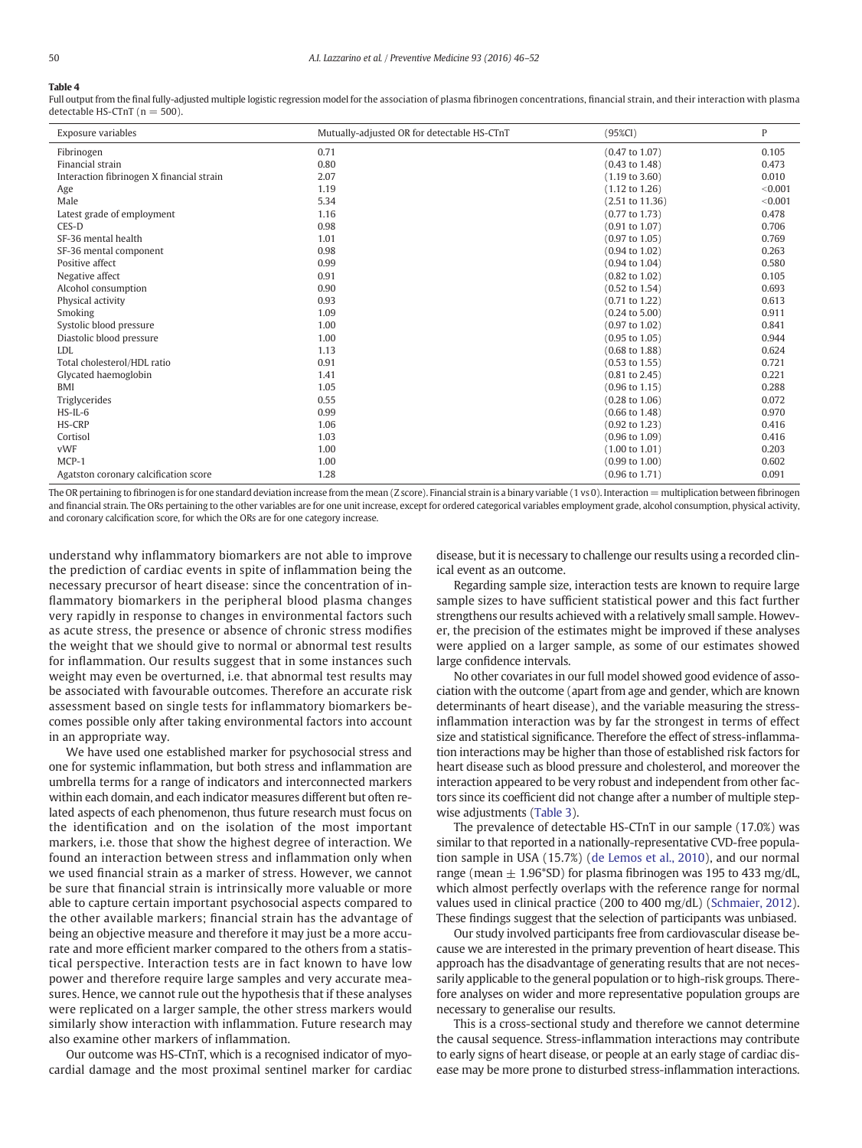# <span id="page-4-0"></span>Table 4

Full output from the final fully-adjusted multiple logistic regression model for the association of plasma fibrinogen concentrations, financial strain, and their interaction with plasma detectable HS-CTnT ( $n = 500$ ).

| Exposure variables                        | Mutually-adjusted OR for detectable HS-CTnT | $(95\%CI)$                 | $\mathbf{P}$ |
|-------------------------------------------|---------------------------------------------|----------------------------|--------------|
| Fibrinogen                                | 0.71                                        | $(0.47 \text{ to } 1.07)$  | 0.105        |
| Financial strain                          | 0.80                                        | $(0.43 \text{ to } 1.48)$  | 0.473        |
| Interaction fibrinogen X financial strain | 2.07                                        | $(1.19 \text{ to } 3.60)$  | 0.010        |
| Age                                       | 1.19                                        | $(1.12 \text{ to } 1.26)$  | < 0.001      |
| Male                                      | 5.34                                        | $(2.51 \text{ to } 11.36)$ | < 0.001      |
| Latest grade of employment                | 1.16                                        | $(0.77$ to $1.73)$         | 0.478        |
| CES-D                                     | 0.98                                        | $(0.91 \text{ to } 1.07)$  | 0.706        |
| SF-36 mental health                       | 1.01                                        | $(0.97 \text{ to } 1.05)$  | 0.769        |
| SF-36 mental component                    | 0.98                                        | $(0.94 \text{ to } 1.02)$  | 0.263        |
| Positive affect                           | 0.99                                        | $(0.94 \text{ to } 1.04)$  | 0.580        |
| Negative affect                           | 0.91                                        | $(0.82 \text{ to } 1.02)$  | 0.105        |
| Alcohol consumption                       | 0.90                                        | $(0.52 \text{ to } 1.54)$  | 0.693        |
| Physical activity                         | 0.93                                        | $(0.71 \text{ to } 1.22)$  | 0.613        |
| Smoking                                   | 1.09                                        | $(0.24 \text{ to } 5.00)$  | 0.911        |
| Systolic blood pressure                   | 1.00                                        | $(0.97 \text{ to } 1.02)$  | 0.841        |
| Diastolic blood pressure                  | 1.00                                        | $(0.95 \text{ to } 1.05)$  | 0.944        |
| <b>LDL</b>                                | 1.13                                        | $(0.68 \text{ to } 1.88)$  | 0.624        |
| Total cholesterol/HDL ratio               | 0.91                                        | $(0.53 \text{ to } 1.55)$  | 0.721        |
| Glycated haemoglobin                      | 1.41                                        | $(0.81$ to $2.45)$         | 0.221        |
| <b>BMI</b>                                | 1.05                                        | $(0.96 \text{ to } 1.15)$  | 0.288        |
| Triglycerides                             | 0.55                                        | $(0.28 \text{ to } 1.06)$  | 0.072        |
| $HS$ -IL-6                                | 0.99                                        | $(0.66 \text{ to } 1.48)$  | 0.970        |
| HS-CRP                                    | 1.06                                        | $(0.92 \text{ to } 1.23)$  | 0.416        |
| Cortisol                                  | 1.03                                        | $(0.96 \text{ to } 1.09)$  | 0.416        |
| vWF                                       | 1.00                                        | $(1.00 \text{ to } 1.01)$  | 0.203        |
| $MCP-1$                                   | 1.00                                        | $(0.99 \text{ to } 1.00)$  | 0.602        |
| Agatston coronary calcification score     | 1.28                                        | $(0.96 \text{ to } 1.71)$  | 0.091        |

The OR pertaining to fibrinogen is for one standard deviation increase from the mean (Z score). Financial strain is a binary variable (1 vs 0). Interaction = multiplication between fibrinogen and financial strain. The ORs pertaining to the other variables are for one unit increase, except for ordered categorical variables employment grade, alcohol consumption, physical activity, and coronary calcification score, for which the ORs are for one category increase.

understand why inflammatory biomarkers are not able to improve the prediction of cardiac events in spite of inflammation being the necessary precursor of heart disease: since the concentration of inflammatory biomarkers in the peripheral blood plasma changes very rapidly in response to changes in environmental factors such as acute stress, the presence or absence of chronic stress modifies the weight that we should give to normal or abnormal test results for inflammation. Our results suggest that in some instances such weight may even be overturned, i.e. that abnormal test results may be associated with favourable outcomes. Therefore an accurate risk assessment based on single tests for inflammatory biomarkers becomes possible only after taking environmental factors into account in an appropriate way.

We have used one established marker for psychosocial stress and one for systemic inflammation, but both stress and inflammation are umbrella terms for a range of indicators and interconnected markers within each domain, and each indicator measures different but often related aspects of each phenomenon, thus future research must focus on the identification and on the isolation of the most important markers, i.e. those that show the highest degree of interaction. We found an interaction between stress and inflammation only when we used financial strain as a marker of stress. However, we cannot be sure that financial strain is intrinsically more valuable or more able to capture certain important psychosocial aspects compared to the other available markers; financial strain has the advantage of being an objective measure and therefore it may just be a more accurate and more efficient marker compared to the others from a statistical perspective. Interaction tests are in fact known to have low power and therefore require large samples and very accurate measures. Hence, we cannot rule out the hypothesis that if these analyses were replicated on a larger sample, the other stress markers would similarly show interaction with inflammation. Future research may also examine other markers of inflammation.

Our outcome was HS-CTnT, which is a recognised indicator of myocardial damage and the most proximal sentinel marker for cardiac disease, but it is necessary to challenge our results using a recorded clinical event as an outcome.

Regarding sample size, interaction tests are known to require large sample sizes to have sufficient statistical power and this fact further strengthens our results achieved with a relatively small sample. However, the precision of the estimates might be improved if these analyses were applied on a larger sample, as some of our estimates showed large confidence intervals.

No other covariates in our full model showed good evidence of association with the outcome (apart from age and gender, which are known determinants of heart disease), and the variable measuring the stressinflammation interaction was by far the strongest in terms of effect size and statistical significance. Therefore the effect of stress-inflammation interactions may be higher than those of established risk factors for heart disease such as blood pressure and cholesterol, and moreover the interaction appeared to be very robust and independent from other factors since its coefficient did not change after a number of multiple stepwise adjustments ([Table 3](#page-3-0)).

The prevalence of detectable HS-CTnT in our sample (17.0%) was similar to that reported in a nationally-representative CVD-free population sample in USA (15.7%) ([de Lemos et al., 2010](#page-5-0)), and our normal range (mean  $\pm$  1.96\*SD) for plasma fibrinogen was 195 to 433 mg/dL, which almost perfectly overlaps with the reference range for normal values used in clinical practice (200 to 400 mg/dL) ([Schmaier, 2012](#page-6-0)). These findings suggest that the selection of participants was unbiased.

Our study involved participants free from cardiovascular disease because we are interested in the primary prevention of heart disease. This approach has the disadvantage of generating results that are not necessarily applicable to the general population or to high-risk groups. Therefore analyses on wider and more representative population groups are necessary to generalise our results.

This is a cross-sectional study and therefore we cannot determine the causal sequence. Stress-inflammation interactions may contribute to early signs of heart disease, or people at an early stage of cardiac disease may be more prone to disturbed stress-inflammation interactions.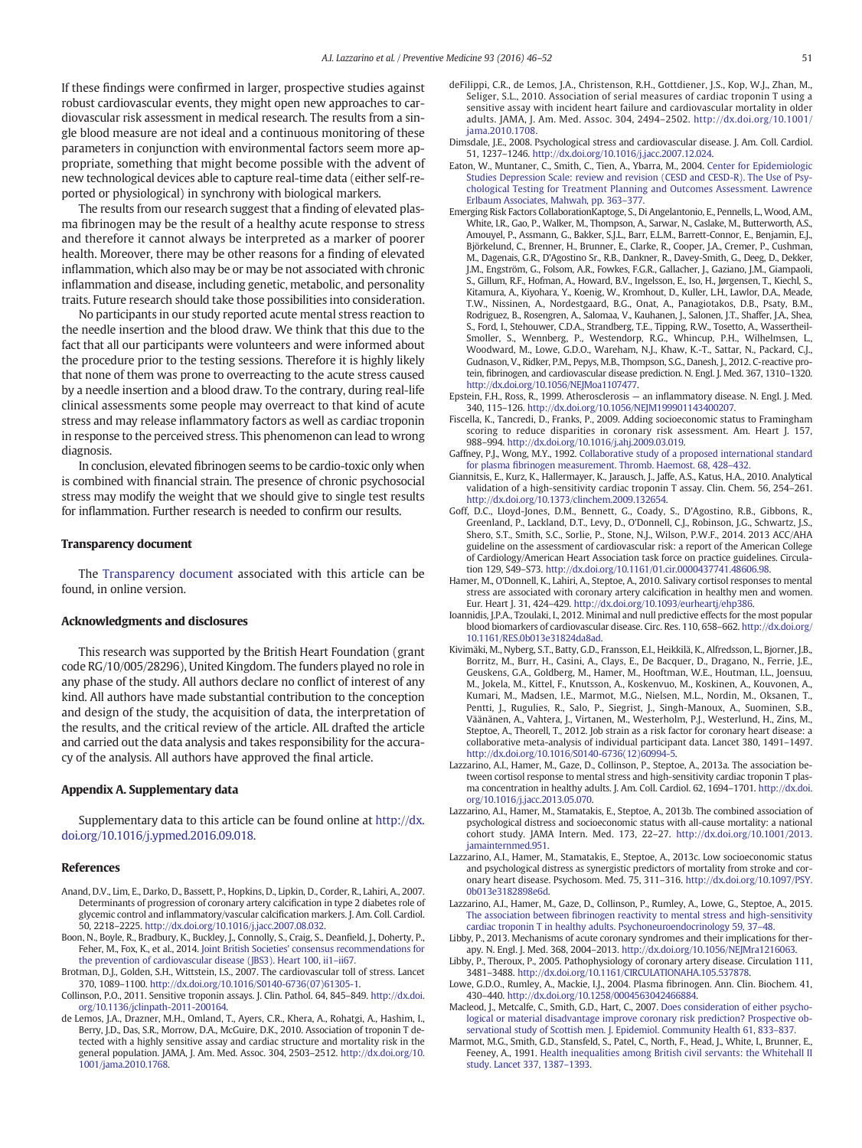<span id="page-5-0"></span>If these findings were confirmed in larger, prospective studies against robust cardiovascular events, they might open new approaches to cardiovascular risk assessment in medical research. The results from a single blood measure are not ideal and a continuous monitoring of these parameters in conjunction with environmental factors seem more appropriate, something that might become possible with the advent of new technological devices able to capture real-time data (either self-reported or physiological) in synchrony with biological markers.

The results from our research suggest that a finding of elevated plasma fibrinogen may be the result of a healthy acute response to stress and therefore it cannot always be interpreted as a marker of poorer health. Moreover, there may be other reasons for a finding of elevated inflammation, which also may be or may be not associated with chronic inflammation and disease, including genetic, metabolic, and personality traits. Future research should take those possibilities into consideration.

No participants in our study reported acute mental stress reaction to the needle insertion and the blood draw. We think that this due to the fact that all our participants were volunteers and were informed about the procedure prior to the testing sessions. Therefore it is highly likely that none of them was prone to overreacting to the acute stress caused by a needle insertion and a blood draw. To the contrary, during real-life clinical assessments some people may overreact to that kind of acute stress and may release inflammatory factors as well as cardiac troponin in response to the perceived stress. This phenomenon can lead to wrong diagnosis.

In conclusion, elevated fibrinogen seems to be cardio-toxic only when is combined with financial strain. The presence of chronic psychosocial stress may modify the weight that we should give to single test results for inflammation. Further research is needed to confirm our results.

# Transparency document

The [Transparency document](http://dx.doi.org/10.1016/j.ypmed.2016.06.032) associated with this article can be found, in online version.

# Acknowledgments and disclosures

This research was supported by the British Heart Foundation (grant code RG/10/005/28296), United Kingdom. The funders played no role in any phase of the study. All authors declare no conflict of interest of any kind. All authors have made substantial contribution to the conception and design of the study, the acquisition of data, the interpretation of the results, and the critical review of the article. AIL drafted the article and carried out the data analysis and takes responsibility for the accuracy of the analysis. All authors have approved the final article.

# Appendix A. Supplementary data

Supplementary data to this article can be found online at [http://dx.](doi:10.1016/j.ypmed.2016.09.018) [doi.org/10.1016/j.ypmed.2016.09.018](doi:10.1016/j.ypmed.2016.09.018).

## References

- Anand, D.V., Lim, E., Darko, D., Bassett, P., Hopkins, D., Lipkin, D., Corder, R., Lahiri, A., 2007. Determinants of progression of coronary artery calcification in type 2 diabetes role of glycemic control and inflammatory/vascular calcification markers. J. Am. Coll. Cardiol. 50, 2218–2225. http://dx.doi.org/[10.1016/j.jacc.2007.08.032.](http://dx.doi.org/10.1016/j.jacc.2007.08.032)
- Boon, N., Boyle, R., Bradbury, K., Buckley, J., Connolly, S., Craig, S., Deanfield, J., Doherty, P., Feher, M., Fox, K., et al., 2014. [Joint British Societies' consensus recommendations for](http://refhub.elsevier.com/S0091-7435(16)30275-4/rf0010) [the prevention of cardiovascular disease \(JBS3\). Heart 100, ii1](http://refhub.elsevier.com/S0091-7435(16)30275-4/rf0010)-ii67.
- Brotman, D.J., Golden, S.H., Wittstein, I.S., 2007. The cardiovascular toll of stress. Lancet 370, 1089–1100. http://dx.doi.org[/10.1016/S0140-6736\(07\)61305-1.](http://dx.doi.org/10.1016/S0140-6736(07)61305-1)
- Collinson, P.O., 2011. Sensitive troponin assays. J. Clin. Pathol. 64, 845–849. http://dx.doi. org[/10.1136/jclinpath-2011-200164](http://dx.doi.org/10.1136/jclinpath-2011-200164).
- de Lemos, J.A., Drazner, M.H., Omland, T., Ayers, C.R., Khera, A., Rohatgi, A., Hashim, I., Berry, J.D., Das, S.R., Morrow, D.A., McGuire, D.K., 2010. Association of troponin T detected with a highly sensitive assay and cardiac structure and mortality risk in the general population. JAMA, J. Am. Med. Assoc. 304, 2503–2512. http://dx.doi.org/[10.](http://dx.doi.org/10.1001/jama.2010.1768) [1001/jama.2010.1768.](http://dx.doi.org/10.1001/jama.2010.1768)
- deFilippi, C.R., de Lemos, J.A., Christenson, R.H., Gottdiener, J.S., Kop, W.J., Zhan, M., Seliger, S.L., 2010. Association of serial measures of cardiac troponin T using a sensitive assay with incident heart failure and cardiovascular mortality in older adults. JAMA, J. Am. Med. Assoc. 304, 2494–2502. http://dx.doi.org/[10.1001/](http://dx.doi.org/10.1001/jama.2010.1708) [jama.2010.1708](http://dx.doi.org/10.1001/jama.2010.1708).
- Dimsdale, J.E., 2008. Psychological stress and cardiovascular disease. J. Am. Coll. Cardiol. 51, 1237–1246. http://dx.doi.org/[10.1016/j.jacc.2007.12.024.](http://dx.doi.org/10.1016/j.jacc.2007.12.024)
- Eaton, W., Muntaner, C., Smith, C., Tien, A., Ybarra, M., 2004. [Center for Epidemiologic](http://refhub.elsevier.com/S0091-7435(16)30275-4/rf0040) [Studies Depression Scale: review and revision \(CESD and CESD-R\). The Use of Psy](http://refhub.elsevier.com/S0091-7435(16)30275-4/rf0040)[chological Testing for Treatment Planning and Outcomes Assessment. Lawrence](http://refhub.elsevier.com/S0091-7435(16)30275-4/rf0040) [Erlbaum Associates, Mahwah, pp. 363](http://refhub.elsevier.com/S0091-7435(16)30275-4/rf0040)–377.
- Emerging Risk Factors CollaborationKaptoge, S., Di Angelantonio, E., Pennells, L., Wood, A.M., White, I.R., Gao, P., Walker, M., Thompson, A., Sarwar, N., Caslake, M., Butterworth, A.S., Amouyel, P., Assmann, G., Bakker, S.J.L., Barr, E.L.M., Barrett-Connor, E., Benjamin, E.J., Björkelund, C., Brenner, H., Brunner, E., Clarke, R., Cooper, J.A., Cremer, P., Cushman, M., Dagenais, G.R., D'Agostino Sr., R.B., Dankner, R., Davey-Smith, G., Deeg, D., Dekker, J.M., Engström, G., Folsom, A.R., Fowkes, F.G.R., Gallacher, J., Gaziano, J.M., Giampaoli, S., Gillum, R.F., Hofman, A., Howard, B.V., Ingelsson, E., Iso, H., Jørgensen, T., Kiechl, S. Kitamura, A., Kiyohara, Y., Koenig, W., Kromhout, D., Kuller, L.H., Lawlor, D.A., Meade, T.W., Nissinen, A., Nordestgaard, B.G., Onat, A., Panagiotakos, D.B., Psaty, B.M., Rodriguez, B., Rosengren, A., Salomaa, V., Kauhanen, J., Salonen, J.T., Shaffer, J.A., Shea, S., Ford, I., Stehouwer, C.D.A., Strandberg, T.E., Tipping, R.W., Tosetto, A., Wassertheil-Smoller, S., Wennberg, P., Westendorp, R.G., Whincup, P.H., Wilhelmsen, L., Woodward, M., Lowe, G.D.O., Wareham, N.J., Khaw, K.-T., Sattar, N., Packard, C.J., Gudnason, V., Ridker, P.M., Pepys, M.B., Thompson, S.G., Danesh, J., 2012. C-reactive protein, fibrinogen, and cardiovascular disease prediction. N. Engl. J. Med. 367, 1310–1320. http://dx.doi.org/[10.1056/NEJMoa1107477](http://dx.doi.org/10.1056/NEJMoa1107477).
- Epstein, F.H., Ross, R., 1999. Atherosclerosis an inflammatory disease. N. Engl. J. Med. 340, 115–126. http://dx.doi.org[/10.1056/NEJM199901143400207](http://dx.doi.org/10.1056/NEJM199901143400207).
- Fiscella, K., Tancredi, D., Franks, P., 2009. Adding socioeconomic status to Framingham scoring to reduce disparities in coronary risk assessment. Am. Heart J. 157, 988–994. http://dx.doi.org[/10.1016/j.ahj.2009.03.019](http://dx.doi.org/10.1016/j.ahj.2009.03.019).
- Gaffney, P.J., Wong, M.Y., 1992. [Collaborative study of a proposed international standard](http://refhub.elsevier.com/S0091-7435(16)30275-4/rf0060) for plasma fi[brinogen measurement. Thromb. Haemost. 68, 428](http://refhub.elsevier.com/S0091-7435(16)30275-4/rf0060)–432.
- Giannitsis, E., Kurz, K., Hallermayer, K., Jarausch, J., Jaffe, A.S., Katus, H.A., 2010. Analytical validation of a high-sensitivity cardiac troponin T assay. Clin. Chem. 56, 254–261. http://dx.doi.org[/10.1373/clinchem.2009.132654](http://dx.doi.org/10.1373/clinchem.2009.132654).
- Goff, D.C., Lloyd-Jones, D.M., Bennett, G., Coady, S., D'Agostino, R.B., Gibbons, R., Greenland, P., Lackland, D.T., Levy, D., O'Donnell, C.J., Robinson, J.G., Schwartz, J.S., Shero, S.T., Smith, S.C., Sorlie, P., Stone, N.J., Wilson, P.W.F., 2014. 2013 ACC/AHA guideline on the assessment of cardiovascular risk: a report of the American College of Cardiology/American Heart Association task force on practice guidelines. Circulation 129, S49–S73. http://dx.doi.org[/10.1161/01.cir.0000437741.48606.98.](http://dx.doi.org/10.1161/01.cir.0000437741.48606.98)
- Hamer, M., O'Donnell, K., Lahiri, A., Steptoe, A., 2010. Salivary cortisol responses to mental stress are associated with coronary artery calcification in healthy men and women. Eur. Heart J. 31, 424–429. http://dx.doi.org[/10.1093/eurheartj/ehp386](http://dx.doi.org/10.1093/eurheartj/ehp386).
- Ioannidis, J.P.A., Tzoulaki, I., 2012. Minimal and null predictive effects for the most popular blood biomarkers of cardiovascular disease. Circ. Res. 110, 658–662. http://dx.doi.org/ [10.1161/RES.0b013e31824da8ad](http://dx.doi.org/10.1161/RES.0b013e31824da8ad).
- Kivimäki, M., Nyberg, S.T., Batty, G.D., Fransson, E.I., Heikkilä, K., Alfredsson, L., Bjorner, J.B., Borritz, M., Burr, H., Casini, A., Clays, E., De Bacquer, D., Dragano, N., Ferrie, J.E., Geuskens, G.A., Goldberg, M., Hamer, M., Hooftman, W.E., Houtman, I.L., Joensuu, M., Jokela, M., Kittel, F., Knutsson, A., Koskenvuo, M., Koskinen, A., Kouvonen, A., Kumari, M., Madsen, I.E., Marmot, M.G., Nielsen, M.L., Nordin, M., Oksanen, T., Pentti, J., Rugulies, R., Salo, P., Siegrist, J., Singh-Manoux, A., Suominen, S.B., Väänänen, A., Vahtera, J., Virtanen, M., Westerholm, P.J., Westerlund, H., Zins, M., Steptoe, A., Theorell, T., 2012. Job strain as a risk factor for coronary heart disease: a collaborative meta-analysis of individual participant data. Lancet 380, 1491–1497. http://dx.doi.org[/10.1016/S0140-6736\(12\)60994-5.](http://dx.doi.org/10.1016/S0140-6736(12)60994-5)
- Lazzarino, A.I., Hamer, M., Gaze, D., Collinson, P., Steptoe, A., 2013a. The association between cortisol response to mental stress and high-sensitivity cardiac troponin T plasma concentration in healthy adults. J. Am. Coll. Cardiol. 62, 1694–1701. http://dx.doi. org[/10.1016/j.jacc.2013.05.070.](http://dx.doi.org/10.1016/j.jacc.2013.05.070)
- Lazzarino, A.I., Hamer, M., Stamatakis, E., Steptoe, A., 2013b. The combined association of psychological distress and socioeconomic status with all-cause mortality: a national cohort study. JAMA Intern. Med. 173, 22–27. http://dx.doi.org/[10.1001/2013.](http://dx.doi.org/10.1001/2013.jamainternmed.951) [jamainternmed.951](http://dx.doi.org/10.1001/2013.jamainternmed.951).
- Lazzarino, A.I., Hamer, M., Stamatakis, E., Steptoe, A., 2013c. Low socioeconomic status and psychological distress as synergistic predictors of mortality from stroke and coronary heart disease. Psychosom. Med. 75, 311–316. http://dx.doi.org/[10.1097/PSY.](http://dx.doi.org/10.1097/PSY.0b013e3182898e6d) [0b013e3182898e6d.](http://dx.doi.org/10.1097/PSY.0b013e3182898e6d)
- Lazzarino, A.I., Hamer, M., Gaze, D., Collinson, P., Rumley, A., Lowe, G., Steptoe, A., 2015. The association between fi[brinogen reactivity to mental stress and high-sensitivity](http://refhub.elsevier.com/S0091-7435(16)30275-4/rf0105) [cardiac troponin T in healthy adults. Psychoneuroendocrinology 59, 37](http://refhub.elsevier.com/S0091-7435(16)30275-4/rf0105)–48.
- Libby, P., 2013. Mechanisms of acute coronary syndromes and their implications for therapy. N. Engl. J. Med. 368, 2004–2013. http://dx.doi.org[/10.1056/NEJMra1216063.](http://dx.doi.org/10.1056/NEJMra1216063)
- Libby, P., Theroux, P., 2005. Pathophysiology of coronary artery disease. Circulation 111, 3481–3488. http://dx.doi.org[/10.1161/CIRCULATIONAHA.105.537878.](http://dx.doi.org/10.1161/CIRCULATIONAHA.105.537878)
- Lowe, G.D.O., Rumley, A., Mackie, I.J., 2004. Plasma fibrinogen. Ann. Clin. Biochem. 41, 430–440. http://dx.doi.org[/10.1258/0004563042466884](http://dx.doi.org/10.1258/0004563042466884).
- Macleod, J., Metcalfe, C., Smith, G.D., Hart, C., 2007. [Does consideration of either psycho](http://refhub.elsevier.com/S0091-7435(16)30275-4/rf0125)[logical or material disadvantage improve coronary risk prediction? Prospective ob](http://refhub.elsevier.com/S0091-7435(16)30275-4/rf0125)[servational study of Scottish men. J. Epidemiol. Community Health 61, 833](http://refhub.elsevier.com/S0091-7435(16)30275-4/rf0125)–837.
- Marmot, M.G., Smith, G.D., Stansfeld, S., Patel, C., North, F., Head, J., White, I., Brunner, E., Feeney, A., 1991. [Health inequalities among British civil servants: the Whitehall II](http://refhub.elsevier.com/S0091-7435(16)30275-4/rf0130) [study. Lancet 337, 1387](http://refhub.elsevier.com/S0091-7435(16)30275-4/rf0130)–1393.